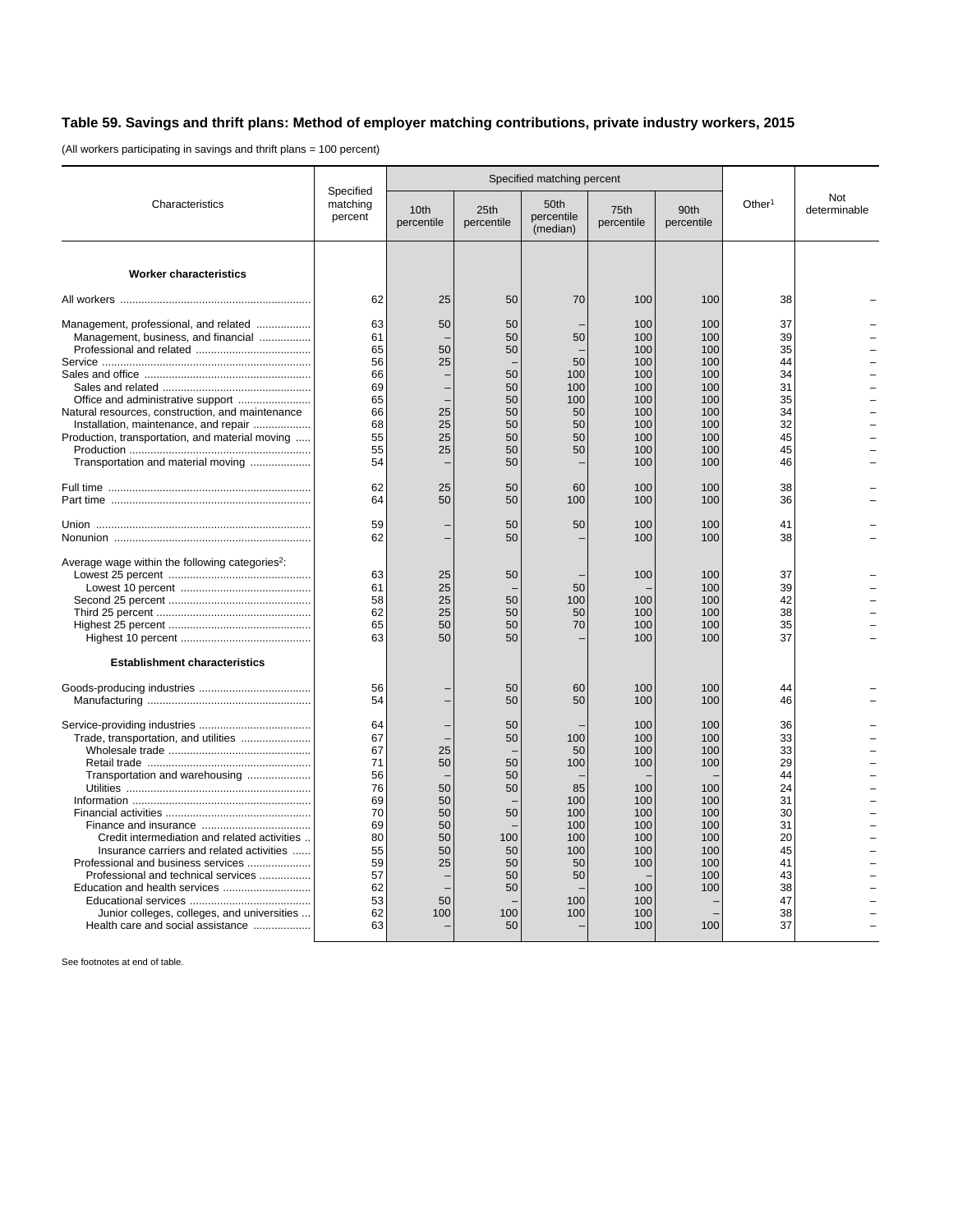## **Table 59. Savings and thrift plans: Method of employer matching contributions, private industry workers, 2015**

(All workers participating in savings and thrift plans = 100 percent)

| Characteristics                                                                                                                                                                                                                                                                                                                                                       | Specified<br>matching<br>percent                                                                   |                                                                 | Specified matching percent                                                       |                                                                                     |                                                                                                       |                                                                                                       |                                                                                                    |                     |
|-----------------------------------------------------------------------------------------------------------------------------------------------------------------------------------------------------------------------------------------------------------------------------------------------------------------------------------------------------------------------|----------------------------------------------------------------------------------------------------|-----------------------------------------------------------------|----------------------------------------------------------------------------------|-------------------------------------------------------------------------------------|-------------------------------------------------------------------------------------------------------|-------------------------------------------------------------------------------------------------------|----------------------------------------------------------------------------------------------------|---------------------|
|                                                                                                                                                                                                                                                                                                                                                                       |                                                                                                    | 10th<br>percentile                                              | 25th<br>percentile                                                               | 50th<br>percentile<br>(median)                                                      | 75th<br>percentile                                                                                    | 90th<br>percentile                                                                                    | Other <sup>1</sup>                                                                                 | Not<br>determinable |
| <b>Worker characteristics</b>                                                                                                                                                                                                                                                                                                                                         |                                                                                                    |                                                                 |                                                                                  |                                                                                     |                                                                                                       |                                                                                                       |                                                                                                    |                     |
|                                                                                                                                                                                                                                                                                                                                                                       | 62                                                                                                 | 25                                                              | 50                                                                               | 70                                                                                  | 100                                                                                                   | 100                                                                                                   | 38                                                                                                 |                     |
| Management, professional, and related<br>Management, business, and financial<br>Office and administrative support<br>Natural resources, construction, and maintenance<br>Installation, maintenance, and repair<br>Production, transportation, and material moving<br>Transportation and material moving                                                               | 63<br>61<br>65<br>56<br>66<br>69<br>65<br>66<br>68<br>55<br>55<br>54<br>62<br>64<br>59             | 50<br>50<br>25<br>25<br>25<br>25<br>25<br>25<br>50              | 50<br>50<br>50<br>50<br>50<br>50<br>50<br>50<br>50<br>50<br>50<br>50<br>50<br>50 | 50<br>50<br>100<br>100<br>100<br>50<br>50<br>50<br>50<br>60<br>100<br>50            | 100<br>100<br>100<br>100<br>100<br>100<br>100<br>100<br>100<br>100<br>100<br>100<br>100<br>100<br>100 | 100<br>100<br>100<br>100<br>100<br>100<br>100<br>100<br>100<br>100<br>100<br>100<br>100<br>100<br>100 | 37<br>39<br>35<br>44<br>34<br>31<br>35<br>34<br>32<br>45<br>45<br>46<br>38<br>36<br>41             |                     |
|                                                                                                                                                                                                                                                                                                                                                                       | 62                                                                                                 |                                                                 | 50                                                                               |                                                                                     | 100                                                                                                   | 100                                                                                                   | 38                                                                                                 |                     |
| Average wage within the following categories <sup>2</sup> :<br><b>Establishment characteristics</b>                                                                                                                                                                                                                                                                   | 63<br>61<br>58<br>62<br>65<br>63                                                                   | 25<br>25<br>25<br>25<br>50<br>50                                | 50<br>50<br>50<br>50<br>50                                                       | 50<br>100<br>50<br>70                                                               | 100<br>100<br>100<br>100<br>100                                                                       | 100<br>100<br>100<br>100<br>100<br>100                                                                | 37<br>39<br>42<br>38<br>35<br>37                                                                   |                     |
|                                                                                                                                                                                                                                                                                                                                                                       | 56<br>54                                                                                           |                                                                 | 50<br>50                                                                         | 60<br>50                                                                            | 100<br>100                                                                                            | 100<br>100                                                                                            | 44<br>46                                                                                           |                     |
| Trade, transportation, and utilities<br>Transportation and warehousing<br>Credit intermediation and related activities<br>Insurance carriers and related activities<br>Professional and business services<br>Professional and technical services<br>Education and health services<br>Junior colleges, colleges, and universities<br>Health care and social assistance | 64<br>67<br>67<br>71<br>56<br>76<br>69<br>70<br>69<br>80<br>55<br>59<br>57<br>62<br>53<br>62<br>63 | 25<br>50<br>50<br>50<br>50<br>50<br>50<br>50<br>25<br>50<br>100 | 50<br>50<br>50<br>50<br>50<br>50<br>100<br>50<br>50<br>50<br>50<br>100<br>50     | 100<br>50<br>100<br>85<br>100<br>100<br>100<br>100<br>100<br>50<br>50<br>100<br>100 | 100<br>100<br>100<br>100<br>100<br>100<br>100<br>100<br>100<br>100<br>100<br>100<br>100<br>100<br>100 | 100<br>100<br>100<br>100<br>100<br>100<br>100<br>100<br>100<br>100<br>100<br>100<br>100<br>100        | 36<br>33<br>33<br>29<br>44<br>24<br>31<br>30<br>31<br>20<br>45<br>41<br>43<br>38<br>47<br>38<br>37 |                     |

See footnotes at end of table.